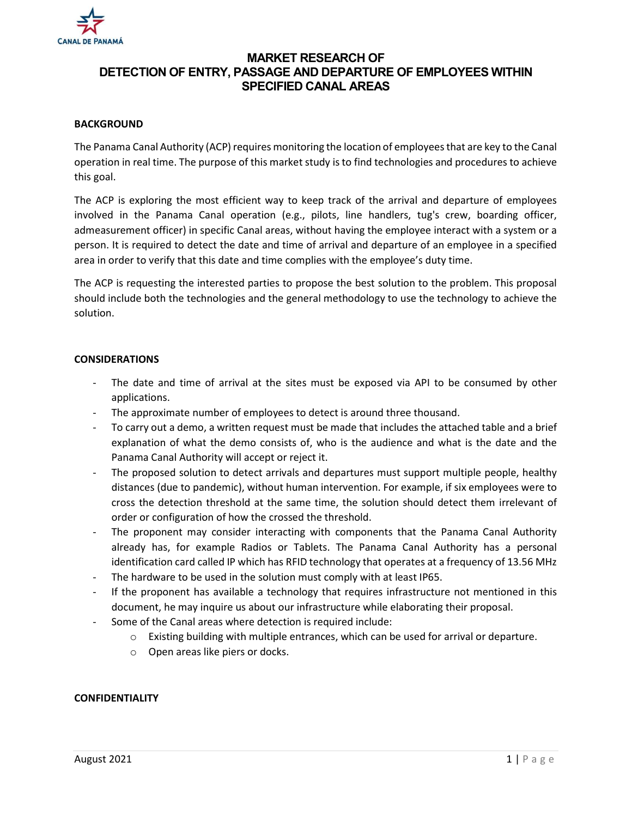

# MARKET RESEARCH OF DETECTION OF ENTRY, PASSAGE AND DEPARTURE OF EMPLOYEES WITHIN SPECIFIED CANAL AREAS

# **BACKGROUND**

The Panama Canal Authority (ACP) requires monitoring the location of employees that are key to the Canal operation in real time. The purpose of this market study is to find technologies and procedures to achieve this goal.

The ACP is exploring the most efficient way to keep track of the arrival and departure of employees involved in the Panama Canal operation (e.g., pilots, line handlers, tug's crew, boarding officer, admeasurement officer) in specific Canal areas, without having the employee interact with a system or a person. It is required to detect the date and time of arrival and departure of an employee in a specified area in order to verify that this date and time complies with the employee's duty time.

The ACP is requesting the interested parties to propose the best solution to the problem. This proposal should include both the technologies and the general methodology to use the technology to achieve the solution.

### **CONSIDERATIONS**

- The date and time of arrival at the sites must be exposed via API to be consumed by other applications.
- The approximate number of employees to detect is around three thousand.
- To carry out a demo, a written request must be made that includes the attached table and a brief explanation of what the demo consists of, who is the audience and what is the date and the Panama Canal Authority will accept or reject it.
- The proposed solution to detect arrivals and departures must support multiple people, healthy distances (due to pandemic), without human intervention. For example, if six employees were to cross the detection threshold at the same time, the solution should detect them irrelevant of order or configuration of how the crossed the threshold.
- The proponent may consider interacting with components that the Panama Canal Authority already has, for example Radios or Tablets. The Panama Canal Authority has a personal identification card called IP which has RFID technology that operates at a frequency of 13.56 MHz
- The hardware to be used in the solution must comply with at least IP65.
- If the proponent has available a technology that requires infrastructure not mentioned in this document, he may inquire us about our infrastructure while elaborating their proposal.
- Some of the Canal areas where detection is required include:
	- $\circ$  Existing building with multiple entrances, which can be used for arrival or departure.
	- o Open areas like piers or docks.

# CONFIDENTIALITY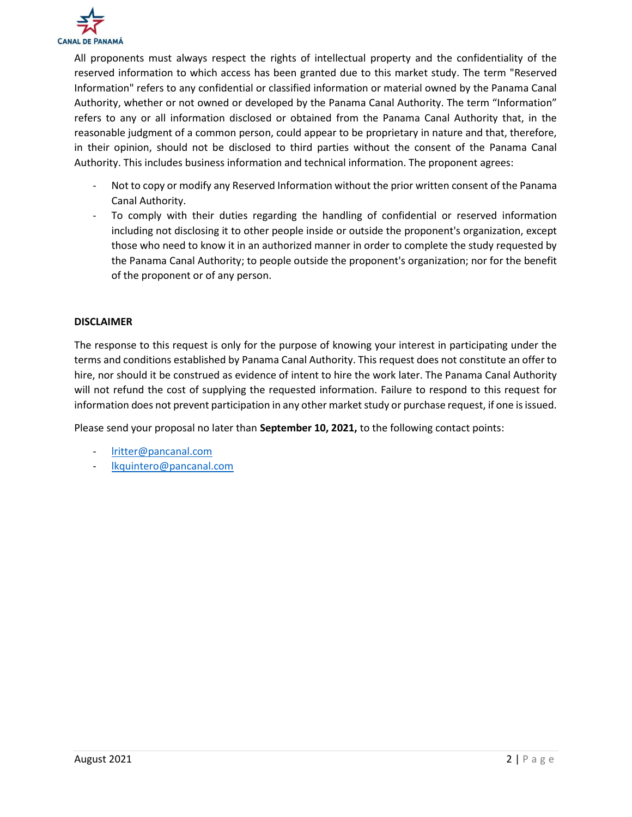

All proponents must always respect the rights of intellectual property and the confidentiality of the reserved information to which access has been granted due to this market study. The term "Reserved Information" refers to any confidential or classified information or material owned by the Panama Canal Authority, whether or not owned or developed by the Panama Canal Authority. The term "Information" refers to any or all information disclosed or obtained from the Panama Canal Authority that, in the reasonable judgment of a common person, could appear to be proprietary in nature and that, therefore, in their opinion, should not be disclosed to third parties without the consent of the Panama Canal Authority. This includes business information and technical information. The proponent agrees:

- Not to copy or modify any Reserved Information without the prior written consent of the Panama Canal Authority.
- To comply with their duties regarding the handling of confidential or reserved information including not disclosing it to other people inside or outside the proponent's organization, except those who need to know it in an authorized manner in order to complete the study requested by the Panama Canal Authority; to people outside the proponent's organization; nor for the benefit of the proponent or of any person.

### DISCLAIMER

The response to this request is only for the purpose of knowing your interest in participating under the terms and conditions established by Panama Canal Authority. This request does not constitute an offer to hire, nor should it be construed as evidence of intent to hire the work later. The Panama Canal Authority will not refund the cost of supplying the requested information. Failure to respond to this request for information does not prevent participation in any other market study or purchase request, if one is issued.

Please send your proposal no later than September 10, 2021, to the following contact points:

- lritter@pancanal.com
- lkquintero@pancanal.com